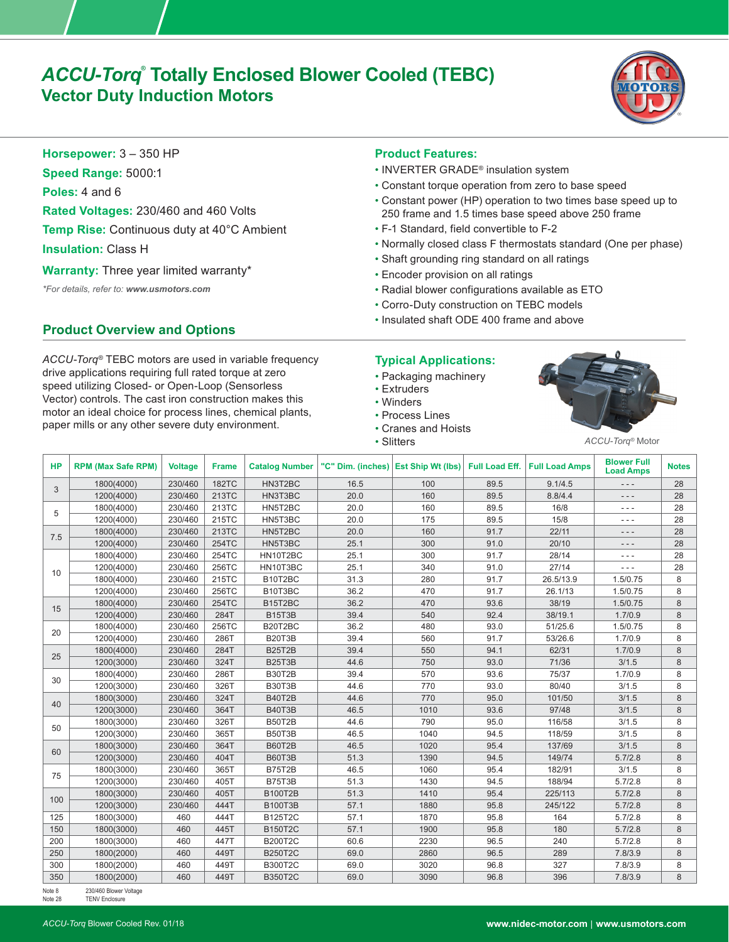# *ACCU-Torq®*  **Totally Enclosed Blower Cooled (TEBC) Vector Duty Induction Motors**



**Horsepower:** 3 – 350 HP

**Speed Range:** 5000:1

**Poles:** 4 and 6

**Rated Voltages:** 230/460 and 460 Volts

**Temp Rise:** Continuous duty at 40°C Ambient

**Insulation:** Class H

**Warranty:** Three year limited warranty\*

*\*For details, refer to: www.usmotors.com*

## **Product Overview and Options**

*ACCU-Torq®* TEBC motors are used in variable frequency drive applications requiring full rated torque at zero speed utilizing Closed- or Open-Loop (Sensorless Vector) controls. The cast iron construction makes this motor an ideal choice for process lines, chemical plants, paper mills or any other severe duty environment.

## **Product Features:**

- INVERTER GRADE® insulation system
- Constant torque operation from zero to base speed
- Constant power (HP) operation to two times base speed up to 250 frame and 1.5 times base speed above 250 frame
- F-1 Standard, field convertible to F-2
- Normally closed class F thermostats standard (One per phase)
- Shaft grounding ring standard on all ratings
- Encoder provision on all ratings
- Radial blower configurations available as ETO
- Corro-Duty construction on TEBC models
- Insulated shaft ODE 400 frame and above

## **Typical Applications:**

- Packaging machinery
- Extruders
- Winders
- Process Lines
- Cranes and Hoists
- Slitters



*ACCU-Torq®* Motor

| <b>HP</b> | <b>RPM (Max Safe RPM)</b> | <b>Voltage</b> | <b>Frame</b> | <b>Catalog Number</b>            | "C" Dim. (inches) Est Ship Wt (lbs) Full Load Eff. |      |      | <b>Full Load Amps</b> | <b>Blower Full</b><br><b>Load Amps</b> | <b>Notes</b> |
|-----------|---------------------------|----------------|--------------|----------------------------------|----------------------------------------------------|------|------|-----------------------|----------------------------------------|--------------|
| 3         | 1800(4000)                | 230/460        | <b>182TC</b> | HN3T2BC                          | 16.5                                               | 100  | 89.5 | 9.1/4.5               | $- - -$                                | 28           |
|           | 1200(4000)                | 230/460        | 213TC        | HN3T3BC                          | 20.0                                               | 160  | 89.5 | 8.8/4.4               | $- - -$                                | 28           |
| 5         | 1800(4000)                | 230/460        | 213TC        | HN5T2BC                          | 20.0                                               | 160  | 89.5 | 16/8                  | $- - -$                                | 28           |
|           | 1200(4000)                | 230/460        | 215TC        | HN5T3BC                          | 20.0                                               | 175  | 89.5 | 15/8                  | $- - -$                                | 28           |
| 7.5       | 1800(4000)                | 230/460        | 213TC        | HN5T2BC                          | 20.0                                               | 160  | 91.7 | 22/11                 | ---                                    | 28           |
|           | 1200(4000)                | 230/460        | 254TC        | HN5T3BC                          | 25.1                                               | 300  | 91.0 | 20/10                 | $- - -$                                | 28           |
|           | 1800(4000)                | 230/460        | 254TC        | HN10T2BC                         | 25.1                                               | 300  | 91.7 | 28/14                 | $- - -$                                | 28           |
| 10        | 1200(4000)                | 230/460        | 256TC        | HN10T3BC                         | 25.1                                               | 340  | 91.0 | 27/14                 | ---                                    | 28           |
|           | 1800(4000)                | 230/460        | 215TC        | B10T2BC                          | 31.3                                               | 280  | 91.7 | 26.5/13.9             | 1.5/0.75                               | 8            |
|           | 1200(4000)                | 230/460        | 256TC        | B10T3BC                          | 36.2                                               | 470  | 91.7 | 26.1/13               | 1.5/0.75                               | 8            |
| 15        | 1800(4000)                | 230/460        | 254TC        | B15T2BC                          | 36.2                                               | 470  | 93.6 | 38/19                 | 1.5/0.75                               | 8            |
|           | 1200(4000)                | 230/460        | 284T         | <b>B15T3B</b>                    | 39.4                                               | 540  | 92.4 | 38/19.1               | 1.7/0.9                                | 8            |
| 20        | 1800(4000)                | 230/460        | 256TC        | B20T2BC                          | 36.2                                               | 480  | 93.0 | 51/25.6               | 1.5/0.75                               | 8            |
|           | 1200(4000)                | 230/460        | 286T         | <b>B20T3B</b>                    | 39.4                                               | 560  | 91.7 | 53/26.6               | 1.7/0.9                                | 8            |
| 25        | 1800(4000)                | 230/460        | 284T         | <b>B25T2B</b>                    | 39.4                                               | 550  | 94.1 | 62/31                 | 1.7/0.9                                | 8            |
|           | 1200(3000)                | 230/460        | 324T         | B <sub>25</sub> T <sub>3</sub> B | 44.6                                               | 750  | 93.0 | 71/36                 | 3/1.5                                  | 8            |
| 30        | 1800(4000)                | 230/460        | 286T         | <b>B30T2B</b>                    | 39.4                                               | 570  | 93.6 | 75/37                 | 1.7/0.9                                | 8            |
|           | 1200(3000)                | 230/460        | 326T         | <b>B30T3B</b>                    | 44.6                                               | 770  | 93.0 | 80/40                 | 3/1.5                                  | 8            |
| 40        | 1800(3000)                | 230/460        | 324T         | <b>B40T2B</b>                    | 44.6                                               | 770  | 95.0 | 101/50                | 3/1.5                                  | 8            |
|           | 1200(3000)                | 230/460        | 364T         | <b>B40T3B</b>                    | 46.5                                               | 1010 | 93.6 | 97/48                 | 3/1.5                                  | 8            |
| 50        | 1800(3000)                | 230/460        | 326T         | B50T2B                           | 44.6                                               | 790  | 95.0 | 116/58                | 3/1.5                                  | 8            |
|           | 1200(3000)                | 230/460        | 365T         | <b>B50T3B</b>                    | 46.5                                               | 1040 | 94.5 | 118/59                | 3/1.5                                  | 8            |
| 60        | 1800(3000)                | 230/460        | 364T         | <b>B60T2B</b>                    | 46.5                                               | 1020 | 95.4 | 137/69                | 3/1.5                                  | 8            |
|           | 1200(3000)                | 230/460        | 404T         | <b>B60T3B</b>                    | 51.3                                               | 1390 | 94.5 | 149/74                | 5.7/2.8                                | 8            |
| 75        | 1800(3000)                | 230/460        | 365T         | <b>B75T2B</b>                    | 46.5                                               | 1060 | 95.4 | 182/91                | 3/1.5                                  | 8            |
|           | 1200(3000)                | 230/460        | 405T         | B75T3B                           | 51.3                                               | 1430 | 94.5 | 188/94                | 5.7/2.8                                | 8            |
| 100       | 1800(3000)                | 230/460        | 405T         | <b>B100T2B</b>                   | 51.3                                               | 1410 | 95.4 | 225/113               | 5.7/2.8                                | 8            |
|           | 1200(3000)                | 230/460        | 444T         | <b>B100T3B</b>                   | 57.1                                               | 1880 | 95.8 | 245/122               | 5.7/2.8                                | 8            |
| 125       | 1800(3000)                | 460            | 444T         | B125T2C                          | 57.1                                               | 1870 | 95.8 | 164                   | 5.7/2.8                                | 8            |
| 150       | 1800(3000)                | 460            | 445T         | <b>B150T2C</b>                   | 57.1                                               | 1900 | 95.8 | 180                   | 5.7/2.8                                | 8            |
| 200       | 1800(3000)                | 460            | 447T         | <b>B200T2C</b>                   | 60.6                                               | 2230 | 96.5 | 240                   | 5.7/2.8                                | 8            |
| 250       | 1800(2000)                | 460            | 449T         | <b>B250T2C</b>                   | 69.0                                               | 2860 | 96.5 | 289                   | 7.8/3.9                                | 8            |
| 300       | 1800(2000)                | 460            | 449T         | <b>B300T2C</b>                   | 69.0                                               | 3020 | 96.8 | 327                   | 7.8/3.9                                | 8            |
| 350       | 1800(2000)                | 460            | 449T         | <b>B350T2C</b>                   | 69.0                                               | 3090 | 96.8 | 396                   | 7.8/3.9                                | 8            |

Note 8 230/460 Blower Voltage Note 28 TENV Enclosure